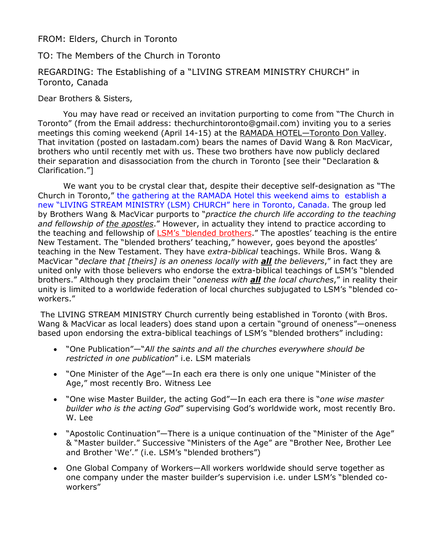### FROM: Elders, Church in Toronto

# TO: The Members of the Church in Toronto

# REGARDING: The Establishing of a "LIVING STREAM MINISTRY CHURCH" in Toronto, Canada

#### Dear Brothers & Sisters,

 You may have read or received an invitation purporting to come from "The Church in Toronto" (from the Email address: thechurchintoronto@gmail.com) inviting you to a series meetings this coming weekend (April 14-15) at the RAMADA HOTEL—Toronto Don Valley. That invitation (posted on lastadam.com) bears the names of David Wang & Ron MacVicar, brothers who until recently met with us. These two brothers have now publicly declared their separation and disassociation from the church in Toronto [see their "Declaration & Clarification."]

 We want you to be crystal clear that, despite their deceptive self-designation as "The Church in Toronto," the gathering at the RAMADA Hotel this weekend aims to establish a new "LIVING STREAM MINISTRY (LSM) CHURCH" here in Toronto, Canada. The group led by Brothers Wang & MacVicar purports to "practice the church life according to the teaching and fellowship of the apostles." However, in actuality they intend to practice according to the teaching and fellowship of **LSM's "blended brothers**." The apostles' teaching is the entire New Testament. The "blended brothers' teaching," however, goes beyond the apostles' teaching in the New Testament. They have extra-biblical teachings. While Bros. Wang & MacVicar "declare that [theirs] is an oneness locally with **all** the believers," in fact they are united only with those believers who endorse the extra-biblical teachings of LSM's "blended brothers." Although they proclaim their "oneness with **all** the local churches," in reality their unity is limited to a worldwide federation of local churches subjugated to LSM's "blended coworkers."

 The LIVING STREAM MINISTRY Church currently being established in Toronto (with Bros. Wang & MacVicar as local leaders) does stand upon a certain "ground of oneness"—oneness based upon endorsing the extra-biblical teachings of LSM's "blended brothers" including:

- "One Publication"—"All the saints and all the churches everywhere should be restricted in one publication" i.e. LSM materials
- "One Minister of the Age"—In each era there is only one unique "Minister of the Age," most recently Bro. Witness Lee
- "One wise Master Builder, the acting God"—In each era there is "one wise master builder who is the acting God" supervising God's worldwide work, most recently Bro. W. Lee
- "Apostolic Continuation"—There is a unique continuation of the "Minister of the Age" & "Master builder." Successive "Ministers of the Age" are "Brother Nee, Brother Lee and Brother 'We'." (i.e. LSM's "blended brothers")
- One Global Company of Workers—All workers worldwide should serve together as one company under the master builder's supervision i.e. under LSM's "blended coworkers"